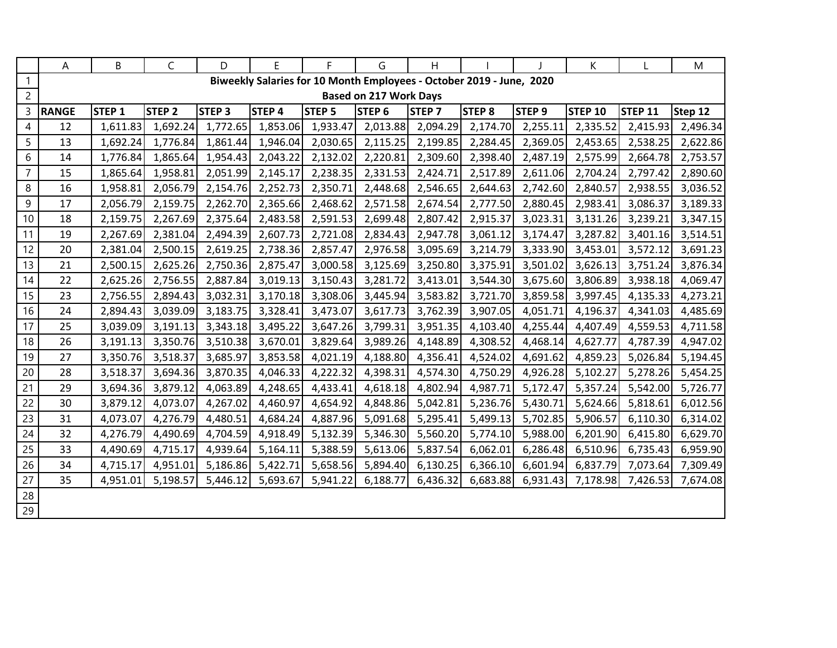|                | Α            | B                                                                    | C                 | D                 | E        | F.                | G                             | H                 |                   |                   | K              |                | M        |  |
|----------------|--------------|----------------------------------------------------------------------|-------------------|-------------------|----------|-------------------|-------------------------------|-------------------|-------------------|-------------------|----------------|----------------|----------|--|
| $\mathbf{1}$   |              | Biweekly Salaries for 10 Month Employees - October 2019 - June, 2020 |                   |                   |          |                   |                               |                   |                   |                   |                |                |          |  |
| $\overline{2}$ |              |                                                                      |                   |                   |          |                   | <b>Based on 217 Work Days</b> |                   |                   |                   |                |                |          |  |
| $\mathsf{3}$   | <b>RANGE</b> | STEP <sub>1</sub>                                                    | STEP <sub>2</sub> | STEP <sub>3</sub> | STEP 4   | STEP <sub>5</sub> | STEP <sub>6</sub>             | STEP <sub>7</sub> | STEP <sub>8</sub> | STEP <sub>9</sub> | <b>STEP 10</b> | <b>STEP 11</b> | Step 12  |  |
| $\overline{4}$ | 12           | 1,611.83                                                             | 1,692.24          | 1,772.65          | 1,853.06 | 1,933.47          | 2,013.88                      | 2,094.29          | 2,174.70          | 2,255.11          | 2,335.52       | 2,415.93       | 2,496.34 |  |
| 5              | 13           | 1,692.24                                                             | 1,776.84          | 1,861.44          | 1,946.04 | 2,030.65          | 2,115.25                      | 2,199.85          | 2,284.45          | 2,369.05          | 2,453.65       | 2,538.25       | 2,622.86 |  |
| 6              | 14           | 1,776.84                                                             | 1,865.64          | 1,954.43          | 2,043.22 | 2,132.02          | 2,220.81                      | 2,309.60          | 2,398.40          | 2,487.19          | 2,575.99       | 2,664.78       | 2,753.57 |  |
| $\overline{7}$ | 15           | 1,865.64                                                             | 1,958.81          | 2,051.99          | 2,145.17 | 2,238.35          | 2,331.53                      | 2,424.71          | 2,517.89          | 2,611.06          | 2,704.24       | 2,797.42       | 2,890.60 |  |
| 8              | 16           | 1,958.81                                                             | 2,056.79          | 2,154.76          | 2,252.73 | 2,350.71          | 2,448.68                      | 2,546.65          | 2,644.63          | 2,742.60          | 2,840.57       | 2,938.55       | 3,036.52 |  |
| 9              | 17           | 2,056.79                                                             | 2,159.75          | 2,262.70          | 2,365.66 | 2,468.62          | 2,571.58                      | 2,674.54          | 2,777.50          | 2,880.45          | 2,983.41       | 3,086.37       | 3,189.33 |  |
| 10             | 18           | 2,159.75                                                             | 2,267.69          | 2,375.64          | 2,483.58 | 2,591.53          | 2,699.48                      | 2,807.42          | 2,915.37          | 3,023.31          | 3,131.26       | 3,239.21       | 3,347.15 |  |
| 11             | 19           | 2,267.69                                                             | 2,381.04          | 2,494.39          | 2,607.73 | 2,721.08          | 2,834.43                      | 2,947.78          | 3,061.12          | 3,174.47          | 3,287.82       | 3,401.16       | 3,514.51 |  |
| 12             | 20           | 2,381.04                                                             | 2,500.15          | 2,619.25          | 2,738.36 | 2,857.47          | 2,976.58                      | 3,095.69          | 3,214.79          | 3,333.90          | 3,453.01       | 3,572.12       | 3,691.23 |  |
| 13             | 21           | 2,500.15                                                             | 2,625.26          | 2,750.36          | 2,875.47 | 3,000.58          | 3,125.69                      | 3,250.80          | 3,375.91          | 3,501.02          | 3,626.13       | 3,751.24       | 3,876.34 |  |
| 14             | 22           | 2,625.26                                                             | 2,756.55          | 2,887.84          | 3,019.13 | 3,150.43          | 3,281.72                      | 3,413.01          | 3,544.30          | 3,675.60          | 3,806.89       | 3,938.18       | 4,069.47 |  |
| 15             | 23           | 2,756.55                                                             | 2,894.43          | 3,032.31          | 3,170.18 | 3,308.06          | 3,445.94                      | 3,583.82          | 3,721.70          | 3,859.58          | 3,997.45       | 4,135.33       | 4,273.21 |  |
| 16             | 24           | 2,894.43                                                             | 3,039.09          | 3,183.75          | 3,328.41 | 3,473.07          | 3,617.73                      | 3,762.39          | 3,907.05          | 4,051.71          | 4,196.37       | 4,341.03       | 4,485.69 |  |
| 17             | 25           | 3,039.09                                                             | 3,191.13          | 3,343.18          | 3,495.22 | 3,647.26          | 3,799.31                      | 3,951.35          | 4,103.40          | 4,255.44          | 4,407.49       | 4,559.53       | 4,711.58 |  |
| 18             | 26           | 3,191.13                                                             | 3,350.76          | 3,510.38          | 3,670.01 | 3,829.64          | 3,989.26                      | 4,148.89          | 4,308.52          | 4,468.14          | 4,627.77       | 4,787.39       | 4,947.02 |  |
| 19             | 27           | 3,350.76                                                             | 3,518.37          | 3,685.97          | 3,853.58 | 4,021.19          | 4,188.80                      | 4,356.41          | 4,524.02          | 4,691.62          | 4,859.23       | 5,026.84       | 5,194.45 |  |
| 20             | 28           | 3,518.37                                                             | 3,694.36          | 3,870.35          | 4,046.33 | 4,222.32          | 4,398.31                      | 4,574.30          | 4,750.29          | 4,926.28          | 5,102.27       | 5,278.26       | 5,454.25 |  |
| 21             | 29           | 3,694.36                                                             | 3,879.12          | 4,063.89          | 4,248.65 | 4,433.41          | 4,618.18                      | 4,802.94          | 4,987.71          | 5,172.47          | 5,357.24       | 5,542.00       | 5,726.77 |  |
| 22             | 30           | 3,879.12                                                             | 4,073.07          | 4,267.02          | 4,460.97 | 4,654.92          | 4,848.86                      | 5,042.81          | 5,236.76          | 5,430.71          | 5,624.66       | 5,818.61       | 6,012.56 |  |
| 23             | 31           | 4,073.07                                                             | 4,276.79          | 4,480.51          | 4,684.24 | 4,887.96          | 5,091.68                      | 5,295.41          | 5,499.13          | 5,702.85          | 5,906.57       | 6,110.30       | 6,314.02 |  |
| 24             | 32           | 4,276.79                                                             | 4,490.69          | 4,704.59          | 4,918.49 | 5,132.39          | 5,346.30                      | 5,560.20          | 5,774.10          | 5,988.00          | 6,201.90       | 6,415.80       | 6,629.70 |  |
| 25             | 33           | 4,490.69                                                             | 4,715.17          | 4,939.64          | 5,164.11 | 5,388.59          | 5,613.06                      | 5,837.54          | 6,062.01          | 6,286.48          | 6,510.96       | 6,735.43       | 6,959.90 |  |
| 26             | 34           | 4,715.17                                                             | 4,951.01          | 5,186.86          | 5,422.71 | 5,658.56          | 5,894.40                      | 6,130.25          | 6,366.10          | 6,601.94          | 6,837.79       | 7,073.64       | 7,309.49 |  |
| 27             | 35           | 4,951.01                                                             | 5,198.57          | 5,446.12          | 5,693.67 | 5,941.22          | 6,188.77                      | 6,436.32          | 6,683.88          | 6,931.43          | 7,178.98       | 7,426.53       | 7,674.08 |  |
| 28             |              |                                                                      |                   |                   |          |                   |                               |                   |                   |                   |                |                |          |  |
| 29             |              |                                                                      |                   |                   |          |                   |                               |                   |                   |                   |                |                |          |  |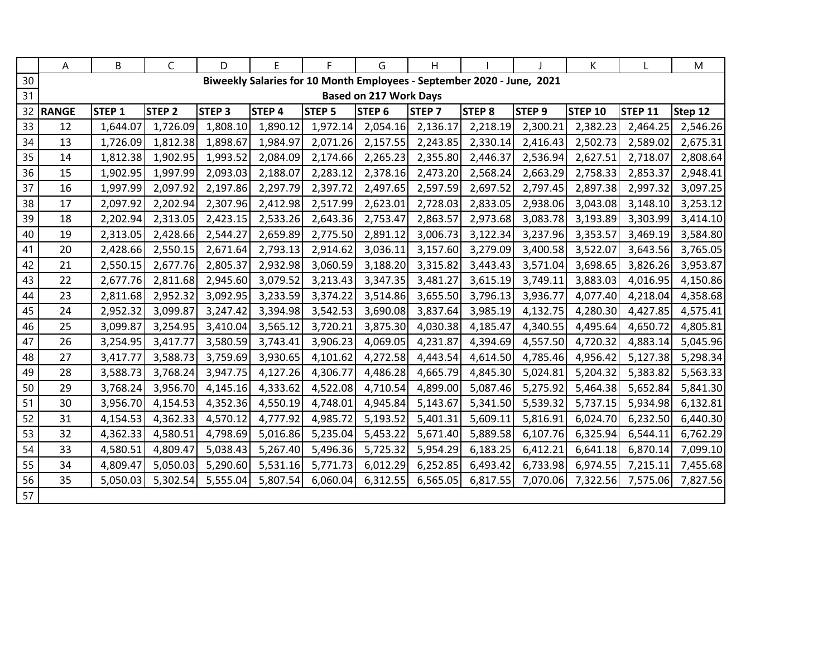|    | A            | B                 | C             | D            | E            | F.            | G                             | H.            |                                                                        |                   | K              |                | M        |
|----|--------------|-------------------|---------------|--------------|--------------|---------------|-------------------------------|---------------|------------------------------------------------------------------------|-------------------|----------------|----------------|----------|
| 30 |              |                   |               |              |              |               |                               |               | Biweekly Salaries for 10 Month Employees - September 2020 - June, 2021 |                   |                |                |          |
| 31 |              |                   |               |              |              |               | <b>Based on 217 Work Days</b> |               |                                                                        |                   |                |                |          |
| 32 | <b>RANGE</b> | STEP <sub>1</sub> | <b>STEP 2</b> | <b>STEP3</b> | <b>STEP4</b> | <b>STEP 5</b> | STEP <sub>6</sub>             | <b>STEP 7</b> | <b>STEP 8</b>                                                          | STEP <sub>9</sub> | <b>STEP 10</b> | <b>STEP 11</b> | Step 12  |
| 33 | 12           | 1,644.07          | 1,726.09      | 1,808.10     | 1,890.12     | 1,972.14      | 2,054.16                      | 2,136.17      | 2,218.19                                                               | 2,300.21          | 2,382.23       | 2,464.25       | 2,546.26 |
| 34 | 13           | 1,726.09          | 1,812.38      | 1,898.67     | 1,984.97     | 2,071.26      | 2,157.55                      | 2,243.85      | 2,330.14                                                               | 2,416.43          | 2,502.73       | 2,589.02       | 2,675.31 |
| 35 | 14           | 1,812.38          | 1,902.95      | 1,993.52     | 2,084.09     | 2,174.66      | 2,265.23                      | 2,355.80      | 2,446.37                                                               | 2,536.94          | 2,627.51       | 2,718.07       | 2,808.64 |
| 36 | 15           | 1,902.95          | 1,997.99      | 2,093.03     | 2,188.07     | 2,283.12      | 2,378.16                      | 2,473.20      | 2,568.24                                                               | 2,663.29          | 2,758.33       | 2,853.37       | 2,948.41 |
| 37 | 16           | 1,997.99          | 2,097.92      | 2,197.86     | 2,297.79     | 2,397.72      | 2,497.65                      | 2,597.59      | 2,697.52                                                               | 2,797.45          | 2,897.38       | 2,997.32       | 3,097.25 |
| 38 | 17           | 2,097.92          | 2,202.94      | 2,307.96     | 2,412.98     | 2,517.99      | 2,623.01                      | 2,728.03      | 2,833.05                                                               | 2,938.06          | 3,043.08       | 3,148.10       | 3,253.12 |
| 39 | 18           | 2,202.94          | 2,313.05      | 2,423.15     | 2,533.26     | 2,643.36      | 2,753.47                      | 2,863.57      | 2,973.68                                                               | 3,083.78          | 3,193.89       | 3,303.99       | 3,414.10 |
| 40 | 19           | 2,313.05          | 2,428.66      | 2,544.27     | 2,659.89     | 2,775.50      | 2,891.12                      | 3,006.73      | 3,122.34                                                               | 3,237.96          | 3,353.57       | 3,469.19       | 3,584.80 |
| 41 | 20           | 2,428.66          | 2,550.15      | 2,671.64     | 2,793.13     | 2,914.62      | 3,036.11                      | 3,157.60      | 3,279.09                                                               | 3,400.58          | 3,522.07       | 3,643.56       | 3,765.05 |
| 42 | 21           | 2,550.15          | 2,677.76      | 2,805.37     | 2,932.98     | 3,060.59      | 3,188.20                      | 3,315.82      | 3,443.43                                                               | 3,571.04          | 3,698.65       | 3,826.26       | 3,953.87 |
| 43 | 22           | 2,677.76          | 2,811.68      | 2,945.60     | 3,079.52     | 3,213.43      | 3,347.35                      | 3,481.27      | 3,615.19                                                               | 3,749.11          | 3,883.03       | 4,016.95       | 4,150.86 |
| 44 | 23           | 2,811.68          | 2,952.32      | 3,092.95     | 3,233.59     | 3,374.22      | 3,514.86                      | 3,655.50      | 3,796.13                                                               | 3,936.77          | 4,077.40       | 4,218.04       | 4,358.68 |
| 45 | 24           | 2,952.32          | 3,099.87      | 3,247.42     | 3,394.98     | 3,542.53      | 3,690.08                      | 3,837.64      | 3,985.19                                                               | 4,132.75          | 4,280.30       | 4,427.85       | 4,575.41 |
| 46 | 25           | 3,099.87          | 3,254.95      | 3,410.04     | 3,565.12     | 3,720.21      | 3,875.30                      | 4,030.38      | 4,185.47                                                               | 4,340.55          | 4,495.64       | 4,650.72       | 4,805.81 |
| 47 | 26           | 3,254.95          | 3,417.77      | 3,580.59     | 3,743.41     | 3,906.23      | 4,069.05                      | 4,231.87      | 4,394.69                                                               | 4,557.50          | 4,720.32       | 4,883.14       | 5,045.96 |
| 48 | 27           | 3,417.77          | 3,588.73      | 3,759.69     | 3,930.65     | 4,101.62      | 4,272.58                      | 4,443.54      | 4,614.50                                                               | 4,785.46          | 4,956.42       | 5,127.38       | 5,298.34 |
| 49 | 28           | 3,588.73          | 3,768.24      | 3,947.75     | 4,127.26     | 4,306.77      | 4,486.28                      | 4,665.79      | 4,845.30                                                               | 5,024.81          | 5,204.32       | 5,383.82       | 5,563.33 |
| 50 | 29           | 3,768.24          | 3,956.70      | 4,145.16     | 4,333.62     | 4,522.08      | 4,710.54                      | 4,899.00      | 5,087.46                                                               | 5,275.92          | 5,464.38       | 5,652.84       | 5,841.30 |
| 51 | 30           | 3,956.70          | 4,154.53      | 4,352.36     | 4,550.19     | 4,748.01      | 4,945.84                      | 5,143.67      | 5,341.50                                                               | 5,539.32          | 5,737.15       | 5,934.98       | 6,132.81 |
| 52 | 31           | 4,154.53          | 4,362.33      | 4,570.12     | 4,777.92     | 4,985.72      | 5,193.52                      | 5,401.31      | 5,609.11                                                               | 5,816.91          | 6,024.70       | 6,232.50       | 6,440.30 |
| 53 | 32           | 4,362.33          | 4,580.51      | 4,798.69     | 5,016.86     | 5,235.04      | 5,453.22                      | 5,671.40      | 5,889.58                                                               | 6,107.76          | 6,325.94       | 6,544.11       | 6,762.29 |
| 54 | 33           | 4,580.51          | 4,809.47      | 5,038.43     | 5,267.40     | 5,496.36      | 5,725.32                      | 5,954.29      | 6,183.25                                                               | 6,412.21          | 6,641.18       | 6,870.14       | 7,099.10 |
| 55 | 34           | 4,809.47          | 5,050.03      | 5,290.60     | 5,531.16     | 5,771.73      | 6,012.29                      | 6,252.85      | 6,493.42                                                               | 6,733.98          | 6,974.55       | 7,215.11       | 7,455.68 |
| 56 | 35           | 5,050.03          | 5,302.54      | 5,555.04     | 5,807.54     | 6,060.04      | 6,312.55                      | 6,565.05      | 6,817.55                                                               | 7,070.06          | 7,322.56       | 7,575.06       | 7,827.56 |
| 57 |              |                   |               |              |              |               |                               |               |                                                                        |                   |                |                |          |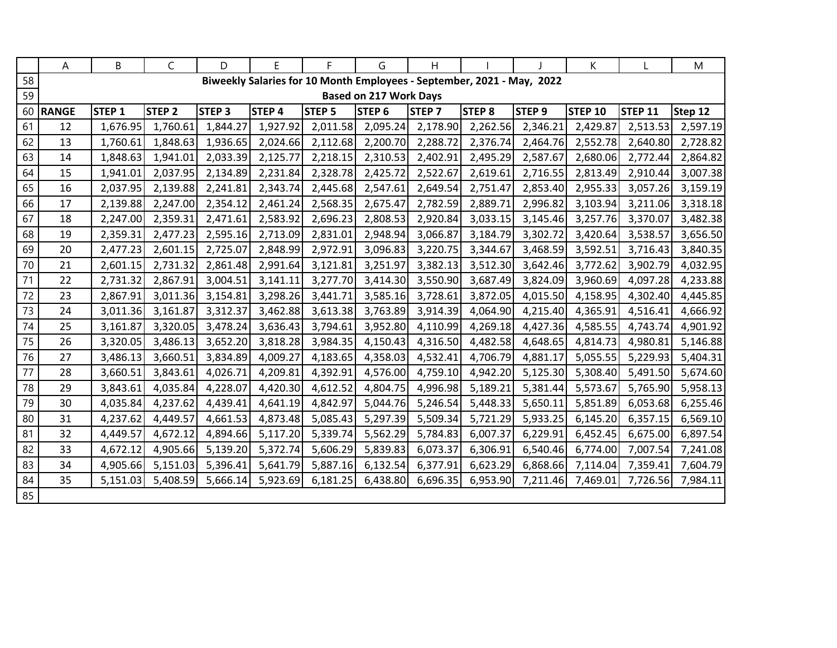|    | A            | B                 | C             | D            | E                 | F.            | G                             | H.            |                                                                        |                   | K              |                | M        |
|----|--------------|-------------------|---------------|--------------|-------------------|---------------|-------------------------------|---------------|------------------------------------------------------------------------|-------------------|----------------|----------------|----------|
| 58 |              |                   |               |              |                   |               |                               |               | Biweekly Salaries for 10 Month Employees - September, 2021 - May, 2022 |                   |                |                |          |
| 59 |              |                   |               |              |                   |               | <b>Based on 217 Work Days</b> |               |                                                                        |                   |                |                |          |
| 60 | <b>RANGE</b> | STEP <sub>1</sub> | <b>STEP 2</b> | <b>STEP3</b> | STEP <sub>4</sub> | <b>STEP 5</b> | STEP <sub>6</sub>             | <b>STEP 7</b> | <b>STEP 8</b>                                                          | STEP <sub>9</sub> | <b>STEP 10</b> | <b>STEP 11</b> | Step 12  |
| 61 | 12           | 1,676.95          | 1,760.61      | 1,844.27     | 1,927.92          | 2,011.58      | 2,095.24                      | 2,178.90      | 2,262.56                                                               | 2,346.21          | 2,429.87       | 2,513.53       | 2,597.19 |
| 62 | 13           | 1,760.61          | 1,848.63      | 1,936.65     | 2,024.66          | 2,112.68      | 2,200.70                      | 2,288.72      | 2,376.74                                                               | 2,464.76          | 2,552.78       | 2,640.80       | 2,728.82 |
| 63 | 14           | 1,848.63          | 1,941.01      | 2,033.39     | 2,125.77          | 2,218.15      | 2,310.53                      | 2,402.91      | 2,495.29                                                               | 2,587.67          | 2,680.06       | 2,772.44       | 2,864.82 |
| 64 | 15           | 1,941.01          | 2,037.95      | 2,134.89     | 2,231.84          | 2,328.78      | 2,425.72                      | 2,522.67      | 2,619.61                                                               | 2,716.55          | 2,813.49       | 2,910.44       | 3,007.38 |
| 65 | 16           | 2,037.95          | 2,139.88      | 2,241.81     | 2,343.74          | 2,445.68      | 2,547.61                      | 2,649.54      | 2,751.47                                                               | 2,853.40          | 2,955.33       | 3,057.26       | 3,159.19 |
| 66 | 17           | 2,139.88          | 2,247.00      | 2,354.12     | 2,461.24          | 2,568.35      | 2,675.47                      | 2,782.59      | 2,889.71                                                               | 2,996.82          | 3,103.94       | 3,211.06       | 3,318.18 |
| 67 | 18           | 2,247.00          | 2,359.31      | 2,471.61     | 2,583.92          | 2,696.23      | 2,808.53                      | 2,920.84      | 3,033.15                                                               | 3,145.46          | 3,257.76       | 3,370.07       | 3,482.38 |
| 68 | 19           | 2,359.31          | 2,477.23      | 2,595.16     | 2,713.09          | 2,831.01      | 2,948.94                      | 3,066.87      | 3,184.79                                                               | 3,302.72          | 3,420.64       | 3,538.57       | 3,656.50 |
| 69 | 20           | 2,477.23          | 2,601.15      | 2,725.07     | 2,848.99          | 2,972.91      | 3,096.83                      | 3,220.75      | 3,344.67                                                               | 3,468.59          | 3,592.51       | 3,716.43       | 3,840.35 |
| 70 | 21           | 2,601.15          | 2,731.32      | 2,861.48     | 2,991.64          | 3,121.81      | 3,251.97                      | 3,382.13      | 3,512.30                                                               | 3,642.46          | 3,772.62       | 3,902.79       | 4,032.95 |
| 71 | 22           | 2,731.32          | 2,867.91      | 3,004.51     | 3,141.11          | 3,277.70      | 3,414.30                      | 3,550.90      | 3,687.49                                                               | 3,824.09          | 3,960.69       | 4,097.28       | 4,233.88 |
| 72 | 23           | 2,867.91          | 3,011.36      | 3,154.81     | 3,298.26          | 3,441.71      | 3,585.16                      | 3,728.61      | 3,872.05                                                               | 4,015.50          | 4,158.95       | 4,302.40       | 4,445.85 |
| 73 | 24           | 3,011.36          | 3,161.87      | 3,312.37     | 3,462.88          | 3,613.38      | 3,763.89                      | 3,914.39      | 4,064.90                                                               | 4,215.40          | 4,365.91       | 4,516.41       | 4,666.92 |
| 74 | 25           | 3,161.87          | 3,320.05      | 3,478.24     | 3,636.43          | 3,794.61      | 3,952.80                      | 4,110.99      | 4,269.18                                                               | 4,427.36          | 4,585.55       | 4,743.74       | 4,901.92 |
| 75 | 26           | 3,320.05          | 3,486.13      | 3,652.20     | 3,818.28          | 3,984.35      | 4,150.43                      | 4,316.50      | 4,482.58                                                               | 4,648.65          | 4,814.73       | 4,980.81       | 5,146.88 |
| 76 | 27           | 3,486.13          | 3,660.51      | 3,834.89     | 4,009.27          | 4,183.65      | 4,358.03                      | 4,532.41      | 4,706.79                                                               | 4,881.17          | 5,055.55       | 5,229.93       | 5,404.31 |
| 77 | 28           | 3,660.51          | 3,843.61      | 4,026.71     | 4,209.81          | 4,392.91      | 4,576.00                      | 4,759.10      | 4,942.20                                                               | 5,125.30          | 5,308.40       | 5,491.50       | 5,674.60 |
| 78 | 29           | 3,843.61          | 4,035.84      | 4,228.07     | 4,420.30          | 4,612.52      | 4,804.75                      | 4,996.98      | 5,189.21                                                               | 5,381.44          | 5,573.67       | 5,765.90       | 5,958.13 |
| 79 | 30           | 4,035.84          | 4,237.62      | 4,439.41     | 4,641.19          | 4,842.97      | 5,044.76                      | 5,246.54      | 5,448.33                                                               | 5,650.11          | 5,851.89       | 6,053.68       | 6,255.46 |
| 80 | 31           | 4,237.62          | 4,449.57      | 4,661.53     | 4,873.48          | 5,085.43      | 5,297.39                      | 5,509.34      | 5,721.29                                                               | 5,933.25          | 6,145.20       | 6,357.15       | 6,569.10 |
| 81 | 32           | 4,449.57          | 4,672.12      | 4,894.66     | 5,117.20          | 5,339.74      | 5,562.29                      | 5,784.83      | 6,007.37                                                               | 6,229.91          | 6,452.45       | 6,675.00       | 6,897.54 |
| 82 | 33           | 4,672.12          | 4,905.66      | 5,139.20     | 5,372.74          | 5,606.29      | 5,839.83                      | 6,073.37      | 6,306.91                                                               | 6,540.46          | 6,774.00       | 7,007.54       | 7,241.08 |
| 83 | 34           | 4,905.66          | 5,151.03      | 5,396.41     | 5,641.79          | 5,887.16      | 6,132.54                      | 6,377.91      | 6,623.29                                                               | 6,868.66          | 7,114.04       | 7,359.41       | 7,604.79 |
| 84 | 35           | 5,151.03          | 5,408.59      | 5,666.14     | 5,923.69          | 6,181.25      | 6,438.80                      | 6,696.35      | 6,953.90                                                               | 7,211.46          | 7,469.01       | 7,726.56       | 7,984.11 |
| 85 |              |                   |               |              |                   |               |                               |               |                                                                        |                   |                |                |          |